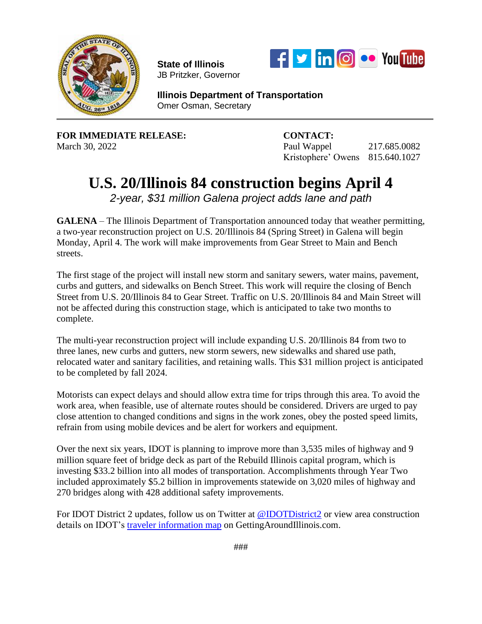

**State of Illinois**  JB Pritzker, Governor



**Illinois Department of Transportation** Omer Osman, Secretary

**FOR IMMEDIATE RELEASE: CONTACT:**

March 30, 2022 **Paul Wappel 217.685.0082** Kristophere' Owens 815.640.1027

## **U.S. 20/Illinois 84 construction begins April 4**

*2-year, \$31 million Galena project adds lane and path*

**GALENA** – The Illinois Department of Transportation announced today that weather permitting, a two-year reconstruction project on U.S. 20/Illinois 84 (Spring Street) in Galena will begin Monday, April 4. The work will make improvements from Gear Street to Main and Bench streets.

The first stage of the project will install new storm and sanitary sewers, water mains, pavement, curbs and gutters, and sidewalks on Bench Street. This work will require the closing of Bench Street from U.S. 20/Illinois 84 to Gear Street. Traffic on U.S. 20/Illinois 84 and Main Street will not be affected during this construction stage, which is anticipated to take two months to complete.

The multi-year reconstruction project will include expanding U.S. 20/Illinois 84 from two to three lanes, new curbs and gutters, new storm sewers, new sidewalks and shared use path, relocated water and sanitary facilities, and retaining walls. This \$31 million project is anticipated to be completed by fall 2024.

Motorists can expect delays and should allow extra time for trips through this area. To avoid the work area, when feasible, use of alternate routes should be considered. Drivers are urged to pay close attention to changed conditions and signs in the work zones, obey the posted speed limits, refrain from using mobile devices and be alert for workers and equipment.

Over the next six years, IDOT is planning to improve more than 3,535 miles of highway and 9 million square feet of bridge deck as part of the Rebuild Illinois capital program, which is investing \$33.2 billion into all modes of transportation. Accomplishments through Year Two included approximately \$5.2 billion in improvements statewide on 3,020 miles of highway and 270 bridges along with 428 additional safety improvements.

For IDOT District 2 updates, follow us on Twitter at [@IDOTDistrict2](https://twitter.com/IDOTDistrict2?ref_src=twsrc%5Etfw%7Ctwcamp%5Eembeddedtimeline%7Ctwterm%5Eprofile%3AIDOTDistrict2%7Ctwgr%5EeyJ0ZndfZXhwZXJpbWVudHNfY29va2llX2V4cGlyYXRpb24iOnsiYnVja2V0IjoxMjA5NjAwLCJ2ZXJzaW9uIjpudWxsfSwidGZ3X2hvcml6b25fdHdlZXRfZW1iZWRfOTU1NSI6eyJidWNrZXQiOiJodGUiLCJ2ZXJzaW9uIjpudWxsfSwidGZ3X3R3ZWV0X2VtYmVkX2NsaWNrYWJpbGl0eV8xMjEwMiI6eyJidWNrZXQiOiJjb250cm9sIiwidmVyc2lvbiI6bnVsbH19&ref_url=https%3A%2F%2Fidot.illinois.gov%2Fabout-idot%2Fidot-regions%2Fidot-region-2%2Findex) or view area construction details on IDOT's traveler [information](https://www.gettingaroundillinois.com/TravelerInfo/index.html) map on GettingAroundIllinois.com.